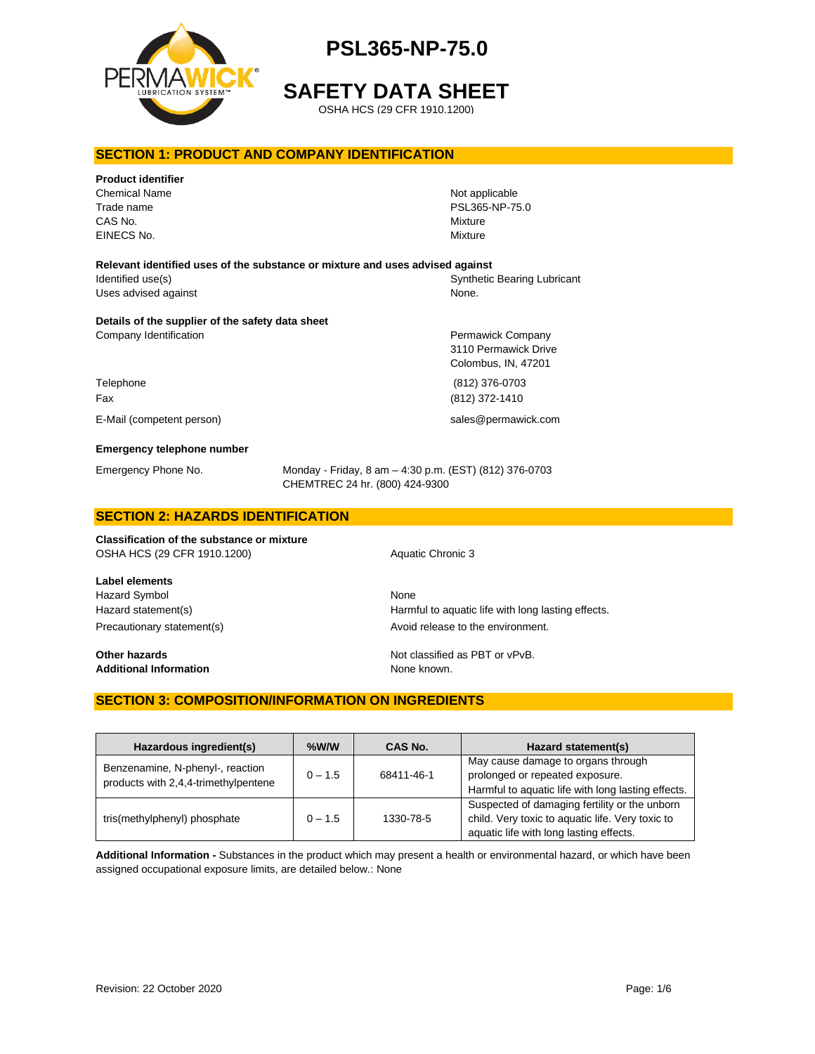

**SAFETY DATA SHEET**

OSHA HCS (29 CFR 1910.1200)

#### **SECTION 1: PRODUCT AND COMPANY IDENTIFICATION**

| <b>Product identifier</b><br><b>Chemical Name</b><br>Trade name<br>CAS No.<br>EINECS No. |                                                                                          | Not applicable<br>PSL365-NP-75.0<br>Mixture<br>Mixture           |
|------------------------------------------------------------------------------------------|------------------------------------------------------------------------------------------|------------------------------------------------------------------|
|                                                                                          |                                                                                          |                                                                  |
| Relevant identified uses of the substance or mixture and uses advised against            |                                                                                          |                                                                  |
| Identified use(s)                                                                        |                                                                                          | <b>Synthetic Bearing Lubricant</b>                               |
| Uses advised against                                                                     |                                                                                          | None.                                                            |
| Details of the supplier of the safety data sheet                                         |                                                                                          |                                                                  |
| Company Identification                                                                   |                                                                                          | Permawick Company<br>3110 Permawick Drive<br>Colombus, IN, 47201 |
| Telephone                                                                                |                                                                                          | (812) 376-0703                                                   |
| Fax                                                                                      |                                                                                          | (812) 372-1410                                                   |
| E-Mail (competent person)                                                                |                                                                                          | sales@permawick.com                                              |
| <b>Emergency telephone number</b>                                                        |                                                                                          |                                                                  |
| Emergency Phone No.                                                                      | Monday - Friday, 8 am - 4:30 p.m. (EST) (812) 376-0703<br>CHEMTREC 24 hr. (800) 424-9300 |                                                                  |
| <b>CECTION 2. HAZADDO IDENTIFICATION</b>                                                 |                                                                                          |                                                                  |

# **SECTION 2: HAZARDS IDENTIFICATION**

**Classification of the substance or mixture** OSHA HCS (29 CFR 1910.1200) Aquatic Chronic 3

**Label elements** Hazard Symbol None

**Additional Information** None known.

Hazard statement(s) example a Harmful to aquatic life with long lasting effects. Precautionary statement(s) example a provid release to the environment.

**Other hazards Other hazards Not classified as PBT or vPvB.** 

#### **SECTION 3: COMPOSITION/INFORMATION ON INGREDIENTS**

| Hazardous ingredient(s)                                                  | $%$ W/W   | CAS No.    | Hazard statement(s)                                                                                                                          |
|--------------------------------------------------------------------------|-----------|------------|----------------------------------------------------------------------------------------------------------------------------------------------|
| Benzenamine, N-phenyl-, reaction<br>products with 2,4,4-trimethylpentene | $0 - 1.5$ | 68411-46-1 | May cause damage to organs through<br>prolonged or repeated exposure.<br>Harmful to aquatic life with long lasting effects.                  |
| tris(methylphenyl) phosphate                                             | $0 - 1.5$ | 1330-78-5  | Suspected of damaging fertility or the unborn<br>child. Very toxic to aquatic life. Very toxic to<br>aquatic life with long lasting effects. |

**Additional Information -** Substances in the product which may present a health or environmental hazard, or which have been assigned occupational exposure limits, are detailed below.: None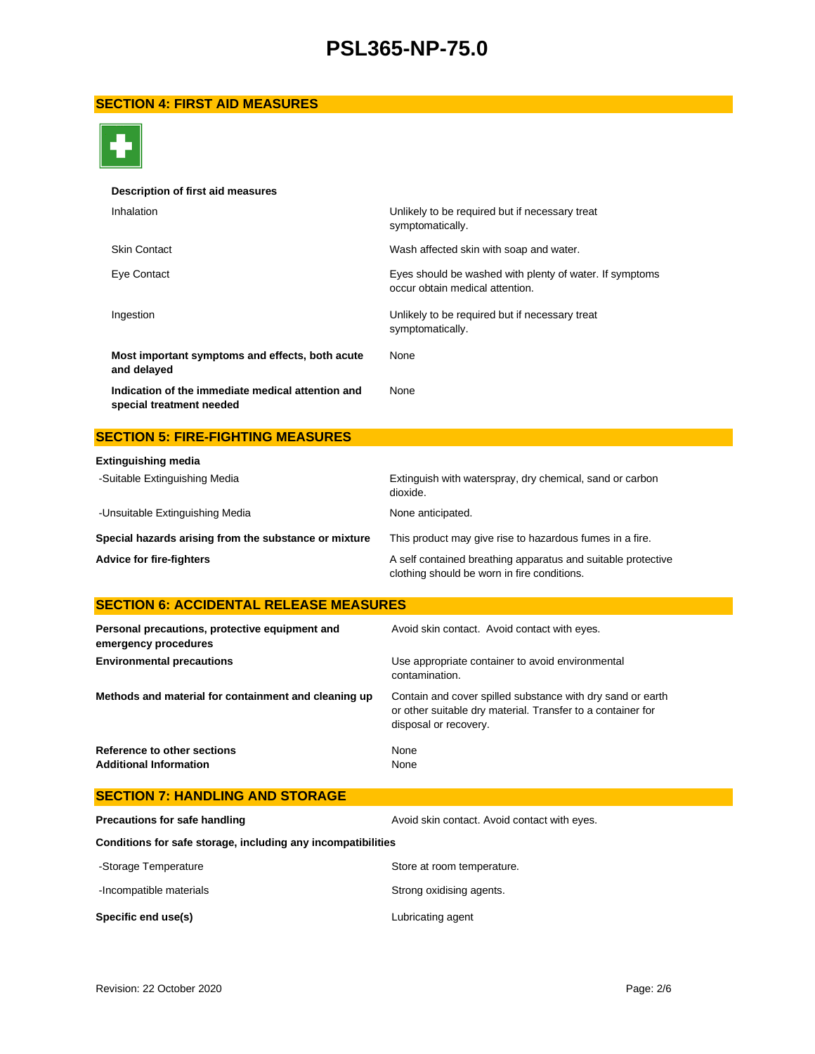### **SECTION 4: FIRST AID MEASURES**



#### **Description of first aid measures**

| Inhalation                                                                    | Unlikely to be required but if necessary treat<br>symptomatically.                         |
|-------------------------------------------------------------------------------|--------------------------------------------------------------------------------------------|
| <b>Skin Contact</b>                                                           | Wash affected skin with soap and water.                                                    |
| Eye Contact                                                                   | Eyes should be washed with plenty of water. If symptoms<br>occur obtain medical attention. |
| Ingestion                                                                     | Unlikely to be required but if necessary treat<br>symptomatically.                         |
| Most important symptoms and effects, both acute<br>and delayed                | None                                                                                       |
| Indication of the immediate medical attention and<br>special treatment needed | None                                                                                       |

### **SECTION 5: FIRE-FIGHTING MEASURES**

| <b>Extinguishing media</b>                            |                                                                                                             |
|-------------------------------------------------------|-------------------------------------------------------------------------------------------------------------|
| -Suitable Extinguishing Media                         | Extinguish with waterspray, dry chemical, sand or carbon<br>dioxide.                                        |
| -Unsuitable Extinguishing Media                       | None anticipated.                                                                                           |
| Special hazards arising from the substance or mixture | This product may give rise to hazardous fumes in a fire.                                                    |
| <b>Advice for fire-fighters</b>                       | A self contained breathing apparatus and suitable protective<br>clothing should be worn in fire conditions. |

### **SECTION 6: ACCIDENTAL RELEASE MEASURES**

| Personal precautions, protective equipment and<br>emergency procedures | Avoid skin contact. Avoid contact with eyes.                                                                                                       |
|------------------------------------------------------------------------|----------------------------------------------------------------------------------------------------------------------------------------------------|
| <b>Environmental precautions</b>                                       | Use appropriate container to avoid environmental<br>contamination.                                                                                 |
| Methods and material for containment and cleaning up                   | Contain and cover spilled substance with dry sand or earth<br>or other suitable dry material. Transfer to a container for<br>disposal or recovery. |
| Reference to other sections<br><b>Additional Information</b>           | None<br>None                                                                                                                                       |

| <b>SECTION 7: HANDLING AND STORAGE</b>                       |                                              |
|--------------------------------------------------------------|----------------------------------------------|
| Precautions for safe handling                                | Avoid skin contact. Avoid contact with eyes. |
| Conditions for safe storage, including any incompatibilities |                                              |
| -Storage Temperature                                         | Store at room temperature.                   |
| -Incompatible materials                                      | Strong oxidising agents.                     |
| Specific end use(s)                                          | Lubricating agent                            |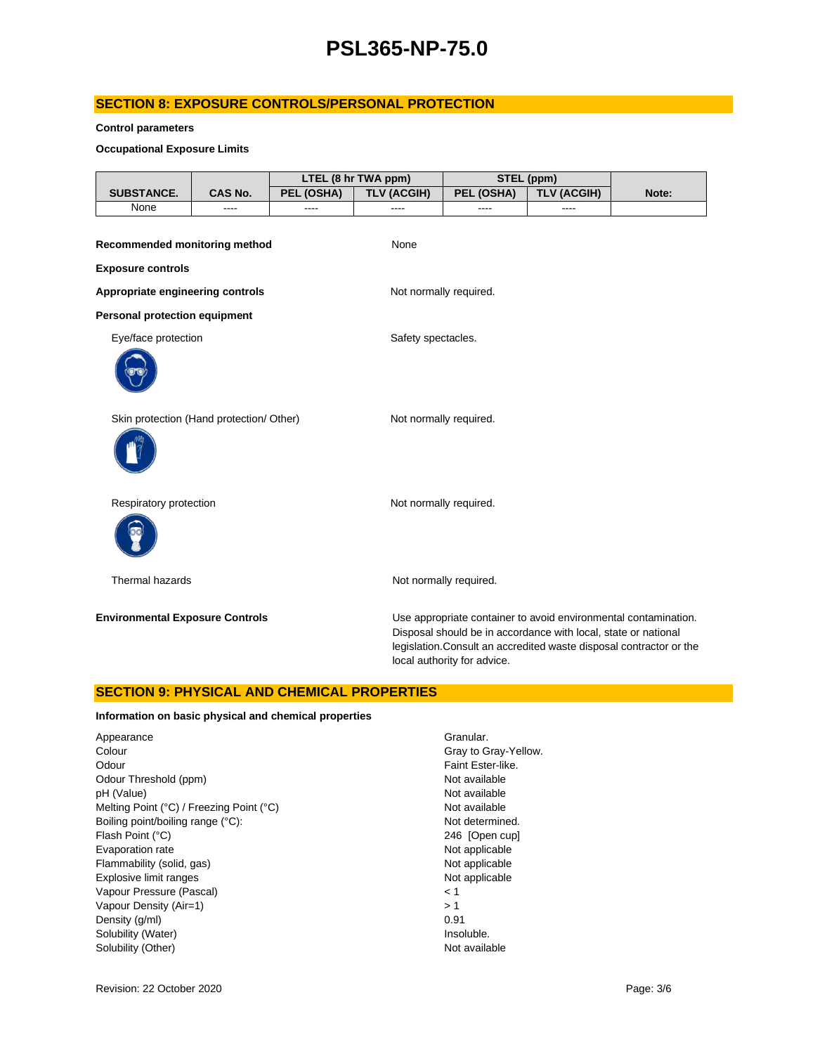#### **SECTION 8: EXPOSURE CONTROLS/PERSONAL PROTECTION**

#### **Control parameters**

#### **Occupational Exposure Limits**

|                                          | LTEL (8 hr TWA ppm) |            |                        | STEL (ppm)                  |                                                                                                                                   |                                                                     |
|------------------------------------------|---------------------|------------|------------------------|-----------------------------|-----------------------------------------------------------------------------------------------------------------------------------|---------------------------------------------------------------------|
| SUBSTANCE.                               | CAS No.             | PEL (OSHA) | <b>TLV (ACGIH)</b>     | PEL (OSHA)                  | <b>TLV (ACGIH)</b>                                                                                                                | Note:                                                               |
| None                                     | ----                | ----       | ----                   | ----                        | ----                                                                                                                              |                                                                     |
| Recommended monitoring method            |                     |            | None                   |                             |                                                                                                                                   |                                                                     |
| <b>Exposure controls</b>                 |                     |            |                        |                             |                                                                                                                                   |                                                                     |
| Appropriate engineering controls         |                     |            | Not normally required. |                             |                                                                                                                                   |                                                                     |
| <b>Personal protection equipment</b>     |                     |            |                        |                             |                                                                                                                                   |                                                                     |
| Eye/face protection                      |                     |            | Safety spectacles.     |                             |                                                                                                                                   |                                                                     |
|                                          |                     |            |                        |                             |                                                                                                                                   |                                                                     |
| Skin protection (Hand protection/ Other) |                     |            | Not normally required. |                             |                                                                                                                                   |                                                                     |
|                                          |                     |            |                        |                             |                                                                                                                                   |                                                                     |
| Respiratory protection                   |                     |            | Not normally required. |                             |                                                                                                                                   |                                                                     |
|                                          |                     |            |                        |                             |                                                                                                                                   |                                                                     |
| Thermal hazards                          |                     |            |                        | Not normally required.      |                                                                                                                                   |                                                                     |
| <b>Environmental Exposure Controls</b>   |                     |            |                        | local authority for advice. | Use appropriate container to avoid environmental contamination.<br>Disposal should be in accordance with local, state or national | legislation. Consult an accredited waste disposal contractor or the |

#### **SECTION 9: PHYSICAL AND CHEMICAL PROPERTIES**

#### **Information on basic physical and chemical properties**

| Appearance                               | Grar  |
|------------------------------------------|-------|
| Colour                                   | Gray  |
| Odour                                    | Fain  |
| Odour Threshold (ppm)                    | Not a |
| pH (Value)                               | Not a |
| Melting Point (°C) / Freezing Point (°C) | Not a |
| Boiling point/boiling range (°C):        | Not ( |
| Flash Point (°C)                         | 246   |
| Evaporation rate                         | Not a |
| Flammability (solid, gas)                | Not a |
| Explosive limit ranges                   | Not a |
| Vapour Pressure (Pascal)                 | < 1   |
| Vapour Density (Air=1)                   | >1    |
| Density (g/ml)                           | 0.91  |
| Solubility (Water)                       | Inso  |
| Solubility (Other)                       | Not a |

Granular. Gray to Gray-Yellow. Faint Ester-like. Not available Not available Not available Not determined. 246 [Open cup] Not applicable Not applicable Not applicable Insoluble. Not available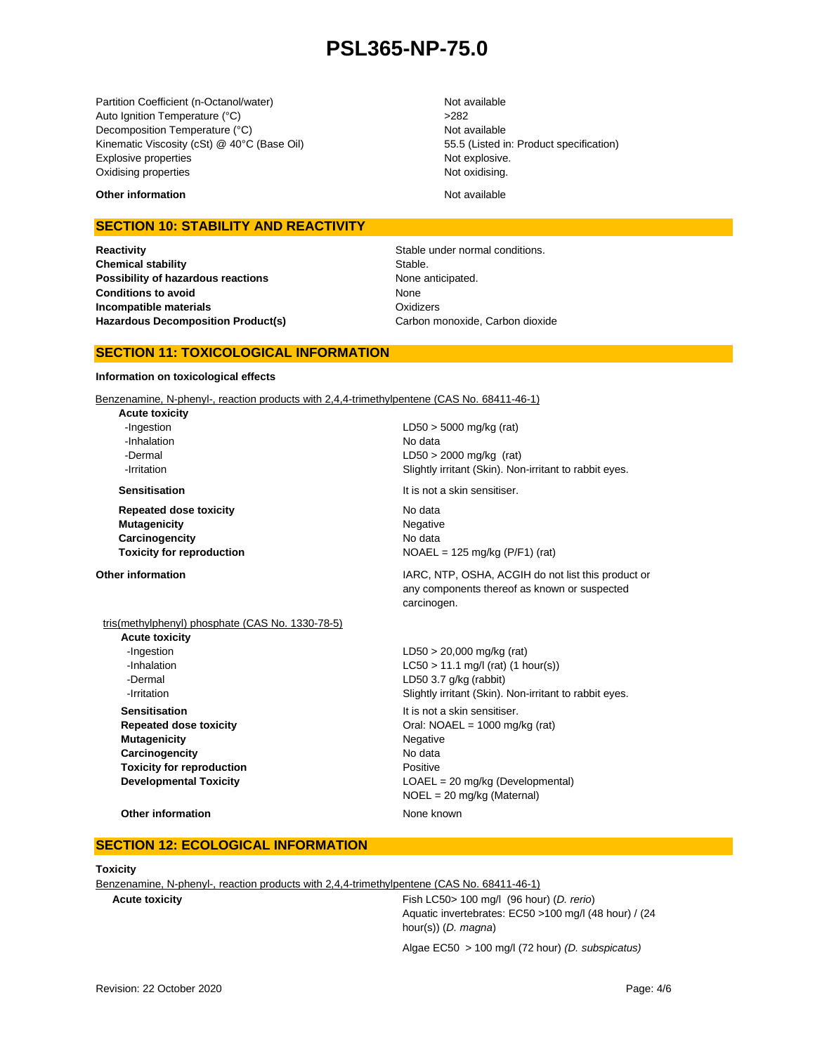Partition Coefficient (n-Octanol/water) Not available Auto Ignition Temperature (°C) <br>
>282 Decomposition Temperature (°C) Not available Kinematic Viscosity (cSt) @ 40°C (Base Oil) 55.5 (Listed in: Product specification) Explosive properties **Not explosive.** Not explosive. Oxidising properties Not oxidising.

#### **Other information** and **Not available** Not available

#### **SECTION 10: STABILITY AND REACTIVITY**

**Reactivity Reactivity Stable under normal conditions. Chemical stability** Stable. **Possibility of hazardous reactions** None anticipated. **Conditions to avoid Incompatible materials Hazardous Decomposition Product(s)** Carbon monoxide, Carbon dioxide

None **Oxidizers** 

#### **SECTION 11: TOXICOLOGICAL INFORMATION**

#### **Information on toxicological effects**

Benzenamine, N-phenyl-, reaction products with 2,4,4-trimethylpentene (CAS No. 68411-46-1)

**Acute toxicity** -Inhalation No data

**Repeated dose toxicity** No data **Mutagenicity** Negative **Carcinogencity** No data

 -Ingestion LD50 > 5000 mg/kg (rat) -Dermal LD50 > 2000 mg/kg (rat) **-Irritation 1998 1998 1998 1998 Slightly irritant (Skin). Non-irritant to rabbit eyes.** 

**Sensitisation It is not a skin sensitiser.** 

**Toxicity for reproduction**  $NOAEL = 125 mg/kg (P/F1) (rat)$ 

- tris(methylphenyl) phosphate (CAS No. 1330-78-5) **Acute toxicity** -Ingestion LD50 > 20,000 mg/kg (rat)  $-LCSO > 11.1$  mg/l (rat) (1 hour(s))
	- **Sensitisation It is not a skin sensitiser. Mutagenicity** Negative **Carcinogencity** No data **Toxicity for reproduction Positive**

**Other information IARC, NTP, OSHA, ACGIH do not list this product or IARC, NTP, OSHA, ACGIH do not list this product or** any components thereof as known or suspected carcinogen.

# -Dermal LD50 3.7 g/kg (rabbit) **-Irritation Slightly irritant (Skin). Non-irritant to rabbit eyes. Repeated dose toxicity Call: NOAEL = 1000 mg/kg (rat)** Oral: NOAEL = 1000 mg/kg (rat) **Developmental Toxicity LOAEL** = 20 mg/kg (Developmental) NOEL = 20 mg/kg (Maternal)

**Other information** None known

#### **SECTION 12: ECOLOGICAL INFORMATION**

#### **Toxicity**

Benzenamine, N-phenyl-, reaction products with 2,4,4-trimethylpentene (CAS No. 68411-46-1)

**Acute toxicity** Fish LC50> 100 mg/l (96 hour) (*D. rerio*) Aquatic invertebrates: EC50 >100 mg/l (48 hour) / (24 hour(s)) (*D. magna*)

Algae EC50 > 100 mg/l (72 hour) *(D. subspicatus)*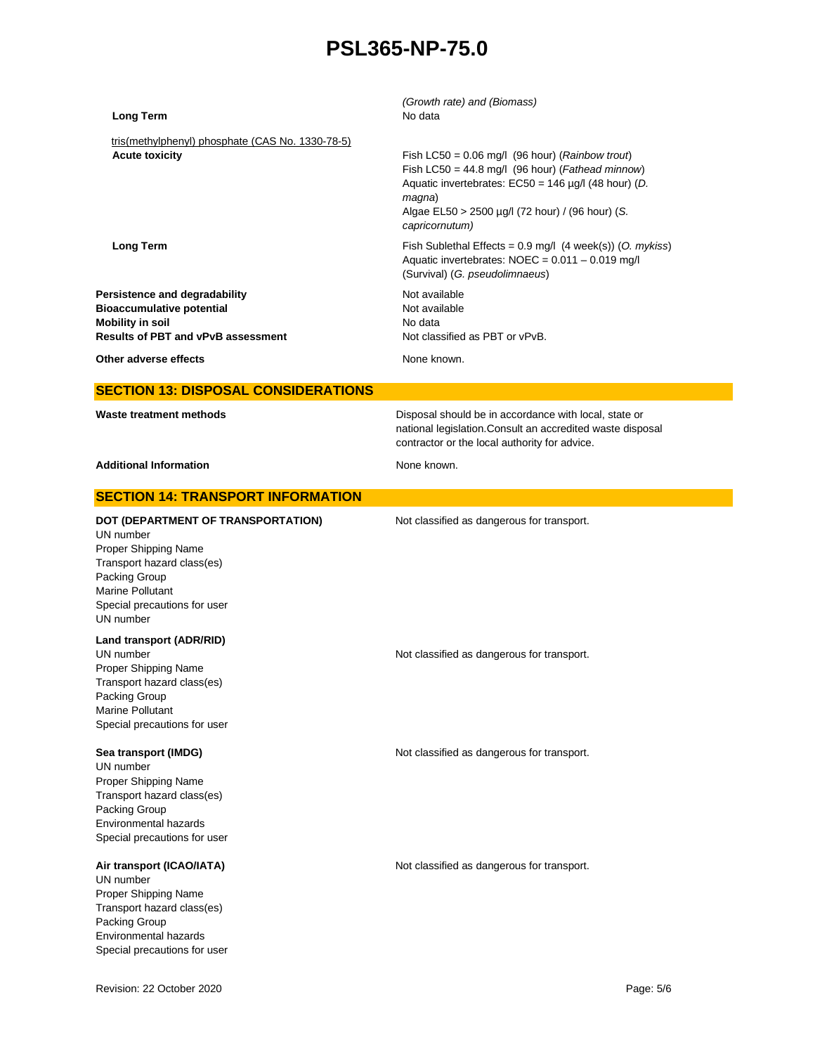| <b>Long Term</b>                                                                                                                                                                               | (Growth rate) and (Biomass)<br>No data                                                                                                                                                                                                             |
|------------------------------------------------------------------------------------------------------------------------------------------------------------------------------------------------|----------------------------------------------------------------------------------------------------------------------------------------------------------------------------------------------------------------------------------------------------|
| tris(methylphenyl) phosphate (CAS No. 1330-78-5)<br><b>Acute toxicity</b>                                                                                                                      | Fish LC50 = $0.06$ mg/l (96 hour) (Rainbow trout)<br>Fish LC50 = 44.8 mg/l (96 hour) (Fathead minnow)<br>Aquatic invertebrates: $EC50 = 146 \mu g/l$ (48 hour) (D.<br>magna)<br>Algae EL50 > 2500 µg/l (72 hour) / (96 hour) (S.<br>capricornutum) |
| <b>Long Term</b>                                                                                                                                                                               | Fish Sublethal Effects = $0.9$ mg/l (4 week(s)) (O. mykiss)<br>Aquatic invertebrates: NOEC = 0.011 - 0.019 mg/l<br>(Survival) (G. pseudolimnaeus)                                                                                                  |
| Persistence and degradability<br><b>Bioaccumulative potential</b><br><b>Mobility in soil</b><br>Results of PBT and vPvB assessment                                                             | Not available<br>Not available<br>No data<br>Not classified as PBT or vPvB.                                                                                                                                                                        |
| Other adverse effects                                                                                                                                                                          | None known.                                                                                                                                                                                                                                        |
| <b>SECTION 13: DISPOSAL CONSIDERATIONS</b>                                                                                                                                                     |                                                                                                                                                                                                                                                    |
| Waste treatment methods                                                                                                                                                                        | Disposal should be in accordance with local, state or<br>national legislation. Consult an accredited waste disposal<br>contractor or the local authority for advice.                                                                               |
| <b>Additional Information</b>                                                                                                                                                                  | None known.                                                                                                                                                                                                                                        |
| <b>SECTION 14: TRANSPORT INFORMATION</b>                                                                                                                                                       |                                                                                                                                                                                                                                                    |
| DOT (DEPARTMENT OF TRANSPORTATION)<br>UN number<br>Proper Shipping Name<br>Transport hazard class(es)<br>Packing Group<br><b>Marine Pollutant</b><br>Special precautions for user<br>UN number | Not classified as dangerous for transport.                                                                                                                                                                                                         |
| Land transport (ADR/RID)<br>UN number<br>Proper Shipping Name<br>Transport hazard class(es)<br>Packing Group<br><b>Marine Pollutant</b><br>Special precautions for user                        | Not classified as dangerous for transport.                                                                                                                                                                                                         |
| Sea transport (IMDG)<br>UN number<br>Proper Shipping Name<br>Transport hazard class(es)<br>Packing Group<br><b>Environmental hazards</b><br>Special precautions for user                       | Not classified as dangerous for transport.                                                                                                                                                                                                         |
| Air transport (ICAO/IATA)<br>UN number<br>Proper Shipping Name<br>Transport hazard class(es)<br>Packing Group<br>Environmental hazards<br>Special precautions for user                         | Not classified as dangerous for transport.                                                                                                                                                                                                         |
| Revision: 22 October 2020                                                                                                                                                                      | Page: 5/6                                                                                                                                                                                                                                          |